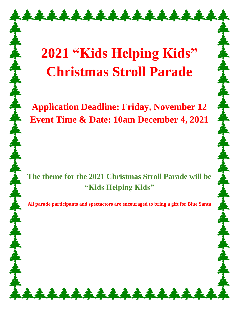## **2021 "Kids Helping Kids" Christmas Stroll Parade**

\*\*\*\*\*\*\*\*\*\*\*\*\*\*\*

**Application Deadline: Friday, November 12 Event Time & Date: 10am December 4, 2021**

**The theme for the 2021 Christmas Stroll Parade will be "Kids Helping Kids"**

**All parade participants and spectactors are encouraged to bring a gift for Blue Santa**

\*\*\*\*\*\*\*\*\*\*\*\*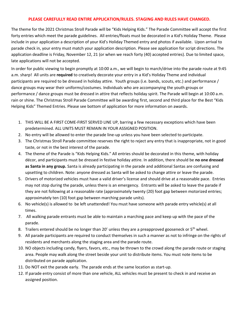## **PLEASE CAREFULLY READ ENTIRE APPLICATION/RULES. STAGING AND RULES HAVE CHANGED.**

The theme for the 2021 Christmas Stroll Parade will be "Kids Helping Kids." The Parade Committee will accept the first forty entries which meet the parade guidelines. All entries/floats must be decorated in a Kid's Holiday Theme. Please include in your application a description of your Kid's Holiday Themed entry and photos if available. Upon arrival to parade check in, your entry must match your application description. Please see application for script directions. The application deadline is Friday, November 12, 21 (or when we reach forty (40) accepted entries). Due to limited space, late applications will not be accepted.

In order for public viewing to begin promptly at 10:00 a.m., we will begin to march/drive into the parade route at 9:45 a.m. sharp! All units are **required** to creatively decorate your entry in a Kid's Holiday Theme and individual participants are required to be dressed in holiday attire. Youth groups (i.e. bands, scouts, etc.) and performance / dance groups may wear their uniforms/costumes. Individuals who are accompanying the youth groups or performance / dance groups must be dressed in attire that reflects holiday spirit. The Parade will begin at 10:00 a.m. rain or shine. The Christmas Stroll Parade Committee will be awarding first, second and third place for the Best "Kids Helping Kids" Themed Entries. Please see bottom of application for more information on awards.

- 1. THIS WILL BE A FIRST COME-FIRST SERVED LINE UP, barring a few necessary exceptions which have been predetermined. ALL UNITS MUST REMAIN IN YOUR ASSIGNED POSITION.
- 2. No entry will be allowed to enter the parade line-up unless you have been selected to participate.
- 3. The Christmas Stroll Parade committee reserves the right to reject any entry that is inappropriate, not in good taste, or not in the best interest of the parade.
- 4. The theme of the Parade is "Kids Helping Kids." All entries should be decorated in this theme, with holiday décor, and participants must be dressed in festive holiday attire. In addition, there should be **no one dressed as Santa in any group.** Santa is already participating in the parade and additional Santas are confusing and upsetting to children. Note: anyone dressed as Santa will be asked to change attire or leave the parade.
- 5. Drivers of motorized vehicles must have a valid driver's license and should drive at a reasonable pace. Entries may not stop during the parade, unless there is an emergency. Entrants will be asked to leave the parade if they are not following at a reasonable rate (approximately twenty (20) foot gap between motorized entries; approximately ten (10) foot gap between marching parade units).
- 6. No vehicle(s) is allowed to be left unattended! You must have someone with parade entry vehicle(s) at all times.
- 7. All walking parade entrants must be able to maintain a marching pace and keep up with the pace of the parade.
- 8. Trailers entered should be no longer than 20' unless they are a preapproved gooseneck or 5<sup>th</sup> wheel.
- 9. All parade participants are required to conduct themselves in such a manner as not to infringe on the rights of residents and merchants along the staging area and the parade route.
- 10. NO objects including candy, flyers, favors, etc., may be thrown to the crowd along the parade route or staging area. People may walk along the street beside your unit to distribute items. You must note items to be distributed on parade application.
- 11. Do NOT exit the parade early. The parade ends at the same location as start-up.
- 12. If parade entry consist of more than one vehicle, ALL vehicles must be present to check in and receive an assigned position.